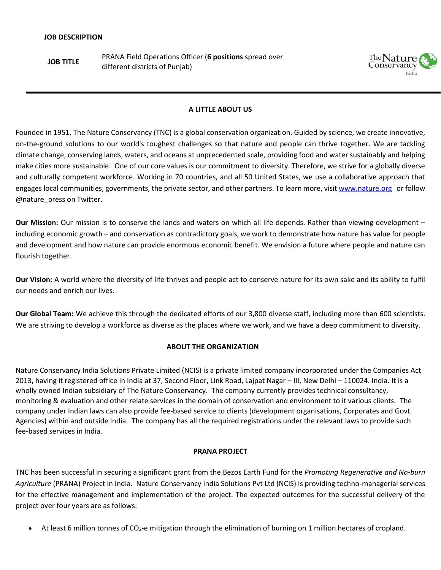**JOB TITLE** PRANA Field Operations Officer (**6 positions** spread over different districts of Punjab)



# **A LITTLE ABOUT US**

Founded in 1951, The Nature Conservancy (TNC) is a global conservation organization. Guided by science, we create innovative, on-the-ground solutions to our world's toughest challenges so that nature and people can thrive together. We are tackling climate change, conserving lands, waters, and oceans at unprecedented scale, providing food and water sustainably and helping make cities more sustainable. One of our core values is our commitment to diversity. Therefore, we strive for a globally diverse and culturally competent workforce. Working in 70 countries, and all 50 United States, we use a collaborative approach that engages local communities, governments, the private sector, and other partners. To learn more, visi[t www.nature.org](http://www.nature.org/) or follow @nature\_press on Twitter.

**Our Mission:** Our mission is to conserve the lands and waters on which all life depends. Rather than viewing development – including economic growth – and conservation as contradictory goals, we work to demonstrate how nature has value for people and development and how nature can provide enormous economic benefit. We envision a future where people and nature can flourish together.

**Our Vision:** A world where the diversity of life thrives and people act to conserve nature for its own sake and its ability to fulfil our needs and enrich our lives.

**Our Global Team:** We achieve this through the dedicated efforts of our 3,800 [diverse staff,](http://www.nature.org/about-us/diversity/index.htm) including more than [600 scientists.](http://www.nature.org/science-in-action/index.htm) We are striving to develop a workforce as diverse as the places where we work, and we have a deep commitment to diversity.

## **ABOUT THE ORGANIZATION**

Nature Conservancy India Solutions Private Limited (NCIS) is a private limited company incorporated under the Companies Act 2013, having it registered office in India at 37, Second Floor, Link Road, Lajpat Nagar – III, New Delhi – 110024. India. It is a wholly owned Indian subsidiary of The Nature Conservancy. The company currently provides technical consultancy, monitoring & evaluation and other relate services in the domain of conservation and environment to it various clients. The company under Indian laws can also provide fee-based service to clients (development organisations, Corporates and Govt. Agencies) within and outside India. The company has all the required registrations under the relevant laws to provide such fee-based services in India.

# **PRANA PROJECT**

TNC has been successful in securing a significant grant from the Bezos Earth Fund for the *Promoting Regenerative and No-burn Agriculture* (PRANA) Project in India. Nature Conservancy India Solutions Pvt Ltd (NCIS) is providing techno-managerial services for the effective management and implementation of the project. The expected outcomes for the successful delivery of the project over four years are as follows:

• At least 6 million tonnes of CO2-e mitigation through the elimination of burning on 1 million hectares of cropland.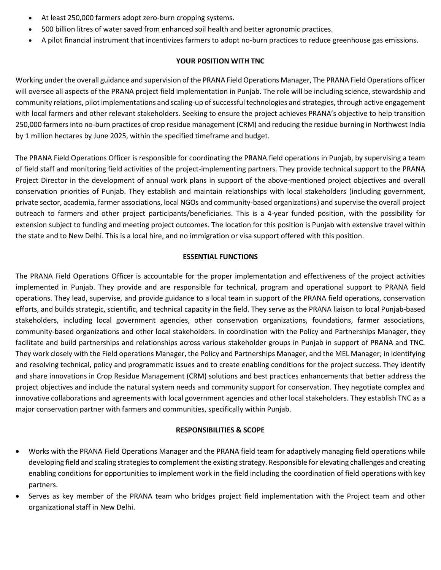- At least 250,000 farmers adopt zero-burn cropping systems.
- 500 billion litres of water saved from enhanced soil health and better agronomic practices.
- A pilot financial instrument that incentivizes farmers to adopt no-burn practices to reduce greenhouse gas emissions.

## **YOUR POSITION WITH TNC**

Working under the overall guidance and supervision of the PRANA Field Operations Manager, The PRANA Field Operations officer will oversee all aspects of the PRANA project field implementation in Punjab. The role will be including science, stewardship and community relations, pilot implementations and scaling-up of successful technologies and strategies, through active engagement with local farmers and other relevant stakeholders. Seeking to ensure the project achieves PRANA's objective to help transition 250,000 farmers into no-burn practices of crop residue management (CRM) and reducing the residue burning in Northwest India by 1 million hectares by June 2025, within the specified timeframe and budget.

The PRANA Field Operations Officer is responsible for coordinating the PRANA field operations in Punjab, by supervising a team of field staff and monitoring field activities of the project-implementing partners. They provide technical support to the PRANA Project Director in the development of annual work plans in support of the above-mentioned project objectives and overall conservation priorities of Punjab. They establish and maintain relationships with local stakeholders (including government, private sector, academia, farmer associations, local NGOs and community-based organizations) and supervise the overall project outreach to farmers and other project participants/beneficiaries. This is a 4-year funded position, with the possibility for extension subject to funding and meeting project outcomes. The location for this position is Punjab with extensive travel within the state and to New Delhi. This is a local hire, and no immigration or visa support offered with this position.

#### **ESSENTIAL FUNCTIONS**

The PRANA Field Operations Officer is accountable for the proper implementation and effectiveness of the project activities implemented in Punjab. They provide and are responsible for technical, program and operational support to PRANA field operations. They lead, supervise, and provide guidance to a local team in support of the PRANA field operations, conservation efforts, and builds strategic, scientific, and technical capacity in the field. They serve as the PRANA liaison to local Punjab-based stakeholders, including local government agencies, other conservation organizations, foundations, farmer associations, community-based organizations and other local stakeholders. In coordination with the Policy and Partnerships Manager, they facilitate and build partnerships and relationships across various stakeholder groups in Punjab in support of PRANA and TNC. They work closely with the Field operations Manager, the Policy and Partnerships Manager, and the MEL Manager; in identifying and resolving technical, policy and programmatic issues and to create enabling conditions for the project success. They identify and share innovations in Crop Residue Management (CRM) solutions and best practices enhancements that better address the project objectives and include the natural system needs and community support for conservation. They negotiate complex and innovative collaborations and agreements with local government agencies and other local stakeholders. They establish TNC as a major conservation partner with farmers and communities, specifically within Punjab.

#### **RESPONSIBILITIES & SCOPE**

- Works with the PRANA Field Operations Manager and the PRANA field team for adaptively managing field operations while developing field and scaling strategies to complement the existing strategy. Responsible for elevating challenges and creating enabling conditions for opportunities to implement work in the field including the coordination of field operations with key partners.
- Serves as key member of the PRANA team who bridges project field implementation with the Project team and other organizational staff in New Delhi.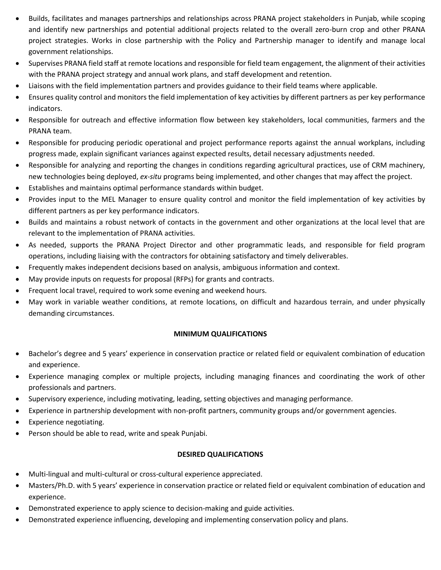- Builds, facilitates and manages partnerships and relationships across PRANA project stakeholders in Punjab, while scoping and identify new partnerships and potential additional projects related to the overall zero-burn crop and other PRANA project strategies. Works in close partnership with the Policy and Partnership manager to identify and manage local government relationships.
- Supervises PRANA field staff at remote locations and responsible for field team engagement, the alignment of their activities with the PRANA project strategy and annual work plans, and staff development and retention.
- Liaisons with the field implementation partners and provides guidance to their field teams where applicable.
- Ensures quality control and monitors the field implementation of key activities by different partners as per key performance indicators.
- Responsible for outreach and effective information flow between key stakeholders, local communities, farmers and the PRANA team.
- Responsible for producing periodic operational and project performance reports against the annual workplans, including progress made, explain significant variances against expected results, detail necessary adjustments needed.
- Responsible for analyzing and reporting the changes in conditions regarding agricultural practices, use of CRM machinery, new technologies being deployed, *ex-situ* programs being implemented, and other changes that may affect the project.
- Establishes and maintains optimal performance standards within budget.
- Provides input to the MEL Manager to ensure quality control and monitor the field implementation of key activities by different partners as per key performance indicators.
- Builds and maintains a robust network of contacts in the government and other organizations at the local level that are relevant to the implementation of PRANA activities.
- As needed, supports the PRANA Project Director and other programmatic leads, and responsible for field program operations, including liaising with the contractors for obtaining satisfactory and timely deliverables.
- Frequently makes independent decisions based on analysis, ambiguous information and context.
- May provide inputs on requests for proposal (RFPs) for grants and contracts.
- Frequent local travel, required to work some evening and weekend hours.
- May work in variable weather conditions, at remote locations, on difficult and hazardous terrain, and under physically demanding circumstances.

## **MINIMUM QUALIFICATIONS**

- Bachelor's degree and 5 years' experience in conservation practice or related field or equivalent combination of education and experience.
- Experience managing complex or multiple projects, including managing finances and coordinating the work of other professionals and partners.
- Supervisory experience, including motivating, leading, setting objectives and managing performance.
- Experience in partnership development with non-profit partners, community groups and/or government agencies.
- Experience negotiating.
- Person should be able to read, write and speak Punjabi.

# **DESIRED QUALIFICATIONS**

- Multi-lingual and multi-cultural or cross-cultural experience appreciated.
- Masters/Ph.D. with 5 years' experience in conservation practice or related field or equivalent combination of education and experience.
- Demonstrated experience to apply science to decision-making and guide activities.
- Demonstrated experience influencing, developing and implementing conservation policy and plans.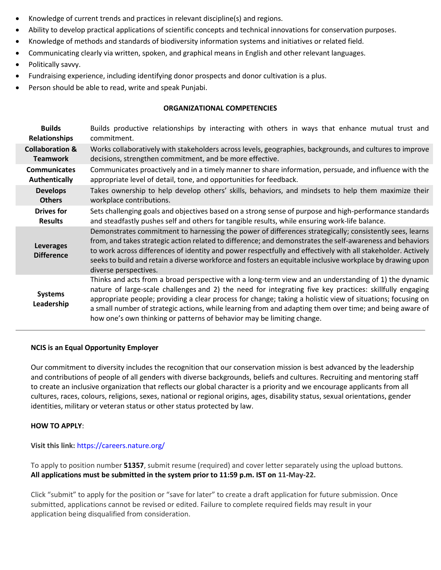- Knowledge of current trends and practices in relevant discipline(s) and regions.
- Ability to develop practical applications of scientific concepts and technical innovations for conservation purposes.
- Knowledge of methods and standards of biodiversity information systems and initiatives or related field.
- Communicating clearly via written, spoken, and graphical means in English and other relevant languages.
- Politically savvy.
- Fundraising experience, including identifying donor prospects and donor cultivation is a plus.
- Person should be able to read, write and speak Punjabi.

#### **ORGANIZATIONAL COMPETENCIES**

| <b>Builds</b>                         | Builds productive relationships by interacting with others in ways that enhance mutual trust and                                                                                                                                                                                                                                                                                                                                                                                                                       |
|---------------------------------------|------------------------------------------------------------------------------------------------------------------------------------------------------------------------------------------------------------------------------------------------------------------------------------------------------------------------------------------------------------------------------------------------------------------------------------------------------------------------------------------------------------------------|
| <b>Relationships</b>                  | commitment.                                                                                                                                                                                                                                                                                                                                                                                                                                                                                                            |
| <b>Collaboration &amp;</b>            | Works collaboratively with stakeholders across levels, geographies, backgrounds, and cultures to improve                                                                                                                                                                                                                                                                                                                                                                                                               |
| <b>Teamwork</b>                       | decisions, strengthen commitment, and be more effective.                                                                                                                                                                                                                                                                                                                                                                                                                                                               |
| <b>Communicates</b>                   | Communicates proactively and in a timely manner to share information, persuade, and influence with the                                                                                                                                                                                                                                                                                                                                                                                                                 |
| Authentically                         | appropriate level of detail, tone, and opportunities for feedback.                                                                                                                                                                                                                                                                                                                                                                                                                                                     |
| <b>Develops</b>                       | Takes ownership to help develop others' skills, behaviors, and mindsets to help them maximize their                                                                                                                                                                                                                                                                                                                                                                                                                    |
| <b>Others</b>                         | workplace contributions.                                                                                                                                                                                                                                                                                                                                                                                                                                                                                               |
| <b>Drives for</b>                     | Sets challenging goals and objectives based on a strong sense of purpose and high-performance standards                                                                                                                                                                                                                                                                                                                                                                                                                |
| <b>Results</b>                        | and steadfastly pushes self and others for tangible results, while ensuring work-life balance.                                                                                                                                                                                                                                                                                                                                                                                                                         |
| <b>Leverages</b><br><b>Difference</b> | Demonstrates commitment to harnessing the power of differences strategically; consistently sees, learns<br>from, and takes strategic action related to difference; and demonstrates the self-awareness and behaviors<br>to work across differences of identity and power respectfully and effectively with all stakeholder. Actively<br>seeks to build and retain a diverse workforce and fosters an equitable inclusive workplace by drawing upon<br>diverse perspectives.                                            |
| <b>Systems</b><br>Leadership          | Thinks and acts from a broad perspective with a long-term view and an understanding of 1) the dynamic<br>nature of large-scale challenges and 2) the need for integrating five key practices: skillfully engaging<br>appropriate people; providing a clear process for change; taking a holistic view of situations; focusing on<br>a small number of strategic actions, while learning from and adapting them over time; and being aware of<br>how one's own thinking or patterns of behavior may be limiting change. |
|                                       |                                                                                                                                                                                                                                                                                                                                                                                                                                                                                                                        |

#### **NCIS is an Equal Opportunity Employer**

Our commitment to diversity includes the recognition that our conservation mission is best advanced by the leadership and contributions of people of all genders with diverse backgrounds, beliefs and cultures. Recruiting and mentoring staff to create an inclusive organization that reflects our global character is a priority and we encourage applicants from all cultures, races, colours, religions, sexes, national or regional origins, ages, disability status, sexual orientations, gender identities, military or veteran status or other status protected by law.

## **HOW TO APPLY**:

**Visit this link:** https://careers.nature.org/

To apply to position number **51357**, submit resume (required) and cover letter separately using the upload buttons. **All applications must be submitted in the system prior to 11:59 p.m. IST on 11-May-22.**

Click "submit" to apply for the position or "save for later" to create a draft application for future submission. Once submitted, applications cannot be revised or edited. Failure to complete required fields may result in your application being disqualified from consideration.